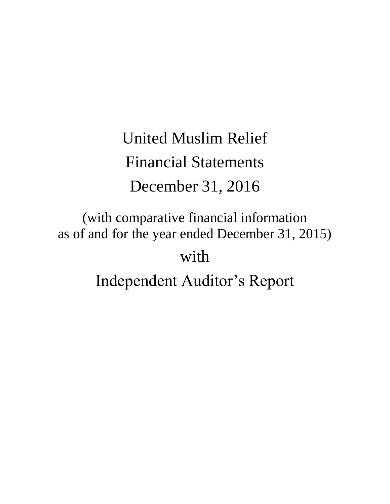# United Muslim Relief Financial Statements December 31, 2016

## (with comparative financial information as of and for the year ended December 31, 2015) with Independent Auditor's Report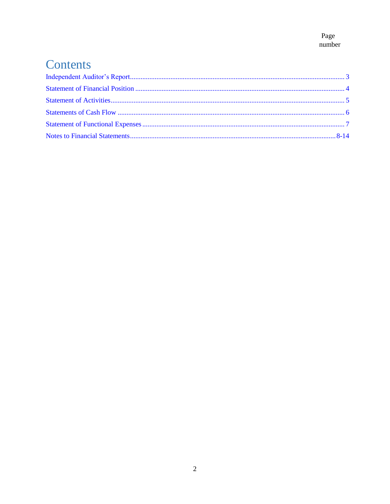## Contents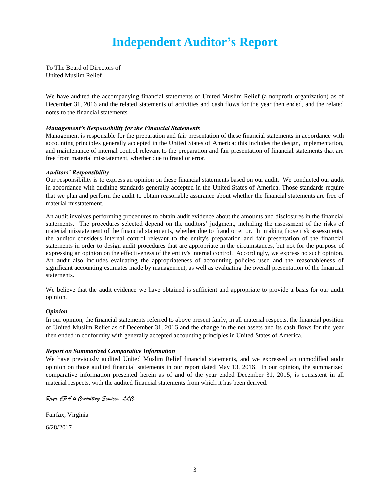### **Independent Auditor's Report**

<span id="page-2-0"></span>To The Board of Directors of United Muslim Relief

We have audited the accompanying financial statements of United Muslim Relief (a nonprofit organization) as of December 31, 2016 and the related statements of activities and cash flows for the year then ended, and the related notes to the financial statements.

#### *Management's Responsibility for the Financial Statements*

Management is responsible for the preparation and fair presentation of these financial statements in accordance with accounting principles generally accepted in the United States of America; this includes the design, implementation, and maintenance of internal control relevant to the preparation and fair presentation of financial statements that are free from material misstatement, whether due to fraud or error.

#### *Auditors' Responsibility*

Our responsibility is to express an opinion on these financial statements based on our audit. We conducted our audit in accordance with auditing standards generally accepted in the United States of America. Those standards require that we plan and perform the audit to obtain reasonable assurance about whether the financial statements are free of material misstatement.

An audit involves performing procedures to obtain audit evidence about the amounts and disclosures in the financial statements. The procedures selected depend on the auditors' judgment, including the assessment of the risks of material misstatement of the financial statements, whether due to fraud or error. In making those risk assessments, the auditor considers internal control relevant to the entity's preparation and fair presentation of the financial statements in order to design audit procedures that are appropriate in the circumstances, but not for the purpose of expressing an opinion on the effectiveness of the entity's internal control. Accordingly, we express no such opinion. An audit also includes evaluating the appropriateness of accounting policies used and the reasonableness of significant accounting estimates made by management, as well as evaluating the overall presentation of the financial statements.

We believe that the audit evidence we have obtained is sufficient and appropriate to provide a basis for our audit opinion.

#### *Opinion*

In our opinion, the financial statements referred to above present fairly, in all material respects, the financial position of United Muslim Relief as of December 31, 2016 and the change in the net assets and its cash flows for the year then ended in conformity with generally accepted accounting principles in United States of America.

#### *Report on Summarized Comparative Information*

We have previously audited United Muslim Relief financial statements, and we expressed an unmodified audit opinion on those audited financial statements in our report dated May 13, 2016. In our opinion, the summarized comparative information presented herein as of and of the year ended December 31, 2015, is consistent in all material respects, with the audited financial statements from which it has been derived.

#### *Raya CPA & Consulting Services, LLC.*

Fairfax, Virginia

6/28/2017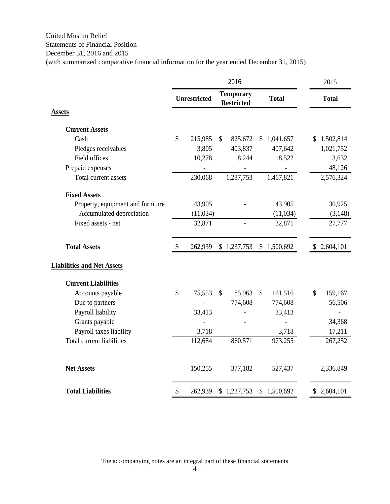#### United Muslim Relief Statements of Financial Position

<span id="page-3-0"></span>December 31, 2016 and 2015

(with summarized comparative financial information for the year ended December 31, 2015)

|                                   | 2016          |                     |    |                                       |     | 2015         |                 |
|-----------------------------------|---------------|---------------------|----|---------------------------------------|-----|--------------|-----------------|
|                                   |               | <b>Unrestricted</b> |    | <b>Temporary</b><br><b>Restricted</b> |     | <b>Total</b> | <b>Total</b>    |
| <b>Assets</b>                     |               |                     |    |                                       |     |              |                 |
| <b>Current Assets</b>             |               |                     |    |                                       |     |              |                 |
| Cash                              | $\mathsf{\$}$ | 215,985             | \$ | 825,672                               | \$. | 1,041,657    | \$<br>1,502,814 |
| Pledges receivables               |               | 3,805               |    | 403,837                               |     | 407,642      | 1,021,752       |
| Field offices                     |               | 10,278              |    | 8,244                                 |     | 18,522       | 3,632           |
| Prepaid expenses                  |               |                     |    |                                       |     |              | 48,126          |
| Total current assets              |               | 230,068             |    | 1,237,753                             |     | 1,467,821    | 2,576,324       |
| <b>Fixed Assets</b>               |               |                     |    |                                       |     |              |                 |
| Property, equipment and furniture |               | 43,905              |    |                                       |     | 43,905       | 30,925          |
| Accumulated depreciation          |               | (11, 034)           |    |                                       |     | (11, 034)    | (3, 148)        |
| Fixed assets - net                |               | 32,871              |    | ÷,                                    |     | 32,871       | 27,777          |
| <b>Total Assets</b>               | \$            | 262,939             |    | \$1,237,753                           | \$  | 1,500,692    | \$<br>2,604,101 |
| <b>Liabilities and Net Assets</b> |               |                     |    |                                       |     |              |                 |
| <b>Current Liabilities</b>        |               |                     |    |                                       |     |              |                 |
| Accounts payable                  | \$            | 75,553              | \$ | 85,963                                | \$  | 161,516      | \$<br>159,167   |
| Due to partners                   |               |                     |    | 774,608                               |     | 774,608      | 56,506          |
| Payroll liability                 |               | 33,413              |    |                                       |     | 33,413       |                 |
| Grants payable                    |               |                     |    |                                       |     |              | 34,368          |
| Payroll taxes liability           |               | 3,718               |    |                                       |     | 3,718        | 17,211          |
| Total current liabilities         |               | 112,684             |    | 860,571                               |     | 973,255      | 267,252         |
| <b>Net Assets</b>                 |               | 150,255             |    | 377,182                               |     | 527,437      | 2,336,849       |
| <b>Total Liabilities</b>          | \$            | 262,939             |    | \$1,237,753                           | \$  | 1,500,692    | \$<br>2,604,101 |

The accompanying notes are an integral part of these financial statements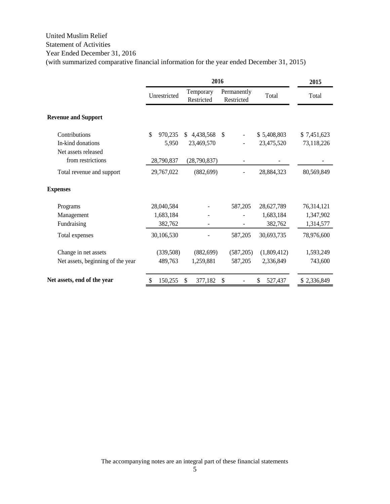#### United Muslim Relief

<span id="page-4-0"></span>Statement of Activities

Year Ended December 31, 2016

(with summarized comparative financial information for the year ended December 31, 2015)

|                                   | 2015                     |                         |                           |               |             |  |
|-----------------------------------|--------------------------|-------------------------|---------------------------|---------------|-------------|--|
|                                   | Unrestricted             | Temporary<br>Restricted | Permanently<br>Restricted | Total         | Total       |  |
| <b>Revenue and Support</b>        |                          |                         |                           |               |             |  |
| Contributions                     | $\mathcal{S}$<br>970,235 | 4,438,568<br>\$         | <sup>\$</sup>             | \$5,408,803   | \$7,451,623 |  |
| In-kind donations                 | 5,950                    | 23,469,570              |                           | 23,475,520    | 73,118,226  |  |
| Net assets released               |                          |                         |                           |               |             |  |
| from restrictions                 | 28,790,837               | (28,790,837)            |                           |               |             |  |
| Total revenue and support         | 29,767,022               | (882, 699)              |                           | 28,884,323    | 80,569,849  |  |
| <b>Expenses</b>                   |                          |                         |                           |               |             |  |
| Programs                          | 28,040,584               |                         | 587,205                   | 28,627,789    | 76,314,121  |  |
| Management                        | 1,683,184                |                         |                           | 1,683,184     | 1,347,902   |  |
| Fundraising                       | 382,762                  |                         |                           | 382,762       | 1,314,577   |  |
| Total expenses                    | 30,106,530               |                         | 587,205                   | 30,693,735    | 78,976,600  |  |
| Change in net assets              | (339,508)                | (882, 699)              | (587, 205)                | (1,809,412)   | 1,593,249   |  |
| Net assets, beginning of the year | 489,763                  | 1,259,881               | 587,205                   | 2,336,849     | 743,600     |  |
| Net assets, end of the year       | 150,255                  | \$<br>377,182           | \$                        | \$<br>527,437 | \$2,336,849 |  |

The accompanying notes are an integral part of these financial statements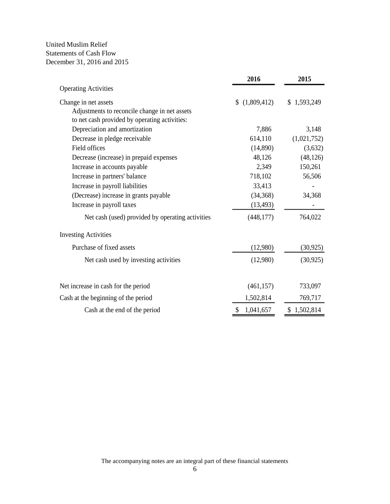#### United Muslim Relief Statements of Cash Flow December 31, 2016 and 2015

|                                                  | 2016              | 2015        |
|--------------------------------------------------|-------------------|-------------|
| <b>Operating Activities</b>                      |                   |             |
| Change in net assets                             | (1,809,412)<br>\$ | \$1,593,249 |
| Adjustments to reconcile change in net assets    |                   |             |
| to net cash provided by operating activities:    |                   |             |
| Depreciation and amortization                    | 7,886             | 3,148       |
| Decrease in pledge receivable                    | 614,110           | (1,021,752) |
| Field offices                                    | (14,890)          | (3,632)     |
| Decrease (increase) in prepaid expenses          | 48,126            | (48, 126)   |
| Increase in accounts payable                     | 2,349             | 150,261     |
| Increase in partners' balance                    | 718,102           | 56,506      |
| Increase in payroll liabilities                  | 33,413            |             |
| (Decrease) increase in grants payable            | (34,368)          | 34,368      |
| Increase in payroll taxes                        | (13, 493)         |             |
| Net cash (used) provided by operating activities | (448, 177)        | 764,022     |
| <b>Investing Activities</b>                      |                   |             |
| Purchase of fixed assets                         | (12,980)          | (30, 925)   |
| Net cash used by investing activities            | (12,980)          | (30, 925)   |
| Net increase in cash for the period              | (461, 157)        | 733,097     |
| Cash at the beginning of the period              | 1,502,814         | 769,717     |
| Cash at the end of the period                    | \$<br>1,041,657   | \$1,502,814 |

The accompanying notes are an integral part of these financial statements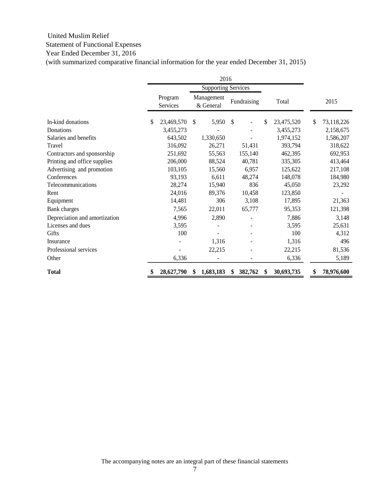#### United Muslim Relief

<span id="page-6-0"></span>Statement of Functional Expenses

Year Ended December 31, 2016

(with summarized comparative financial information for the year ended December 31, 2015)

|                               | 2016 |                            |    |                         |               |             |    |            |                  |
|-------------------------------|------|----------------------------|----|-------------------------|---------------|-------------|----|------------|------------------|
|                               |      | <b>Supporting Services</b> |    |                         |               |             |    |            |                  |
|                               |      | Program<br>Services        |    | Management<br>& General |               | Fundraising |    | Total      | 2015             |
| In-kind donations             | \$   | 23,469,570                 | \$ | 5,950                   | <sup>\$</sup> |             | \$ | 23,475,520 | \$<br>73,118,226 |
| Donations                     |      | 3,455,273                  |    |                         |               |             |    | 3,455,273  | 2,158,675        |
| Salaries and benefits         |      | 643,502                    |    | 1,330,650               |               |             |    | 1,974,152  | 1,586,207        |
| Travel                        |      | 316,092                    |    | 26,271                  |               | 51,431      |    | 393,794    | 318,622          |
| Contractors and sponsorship   |      | 251,692                    |    | 55,563                  |               | 155,140     |    | 462,395    | 692,953          |
| Printing and office supplies  |      | 206,000                    |    | 88,524                  |               | 40,781      |    | 335,305    | 413,464          |
| Advertising and promotion     |      | 103,105                    |    | 15,560                  |               | 6,957       |    | 125,622    | 217,108          |
| Conferences                   |      | 93,193                     |    | 6,611                   |               | 48,274      |    | 148,078    | 184,980          |
| Telecommunications            |      | 28,274                     |    | 15,940                  |               | 836         |    | 45,050     | 23,292           |
| Rent                          |      | 24,016                     |    | 89,376                  |               | 10,458      |    | 123,850    |                  |
| Equipment                     |      | 14,481                     |    | 306                     |               | 3,108       |    | 17,895     | 21,363           |
| <b>Bank</b> charges           |      | 7,565                      |    | 22,011                  |               | 65,777      |    | 95,353     | 121,398          |
| Depreciation and amortization |      | 4,996                      |    | 2,890                   |               |             |    | 7,886      | 3,148            |
| Licenses and dues             |      | 3,595                      |    |                         |               |             |    | 3,595      | 25,631           |
| Gifts                         |      | 100                        |    |                         |               |             |    | 100        | 4,312            |
| Insurance                     |      |                            |    | 1,316                   |               |             |    | 1,316      | 496              |
| Professional services         |      |                            |    | 22,215                  |               |             |    | 22,215     | 81,536           |
| Other                         |      | 6,336                      |    |                         |               |             |    | 6,336      | 5,189            |
| <b>Total</b>                  |      | 28,627,790                 | \$ | 1,683,183               | \$            | 382,762     | -S | 30,693,735 | \$<br>78,976,600 |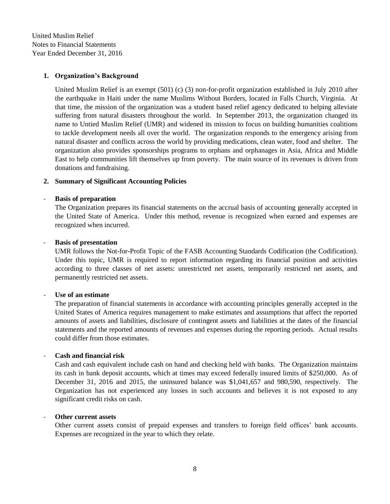#### <span id="page-7-0"></span>**1. Organization's Background**

United Muslim Relief is an exempt (501) (c) (3) non-for-profit organization established in July 2010 after the earthquake in Haiti under the name Muslims Without Borders, located in Falls Church, Virginia. At that time, the mission of the organization was a student based relief agency dedicated to helping alleviate suffering from natural disasters throughout the world. In September 2013, the organization changed its name to Untied Muslim Relief (UMR) and widened its mission to focus on building humanities coalitions to tackle development needs all over the world. The organization responds to the emergency arising from natural disaster and conflicts across the world by providing medications, clean water, food and shelter. The organization also provides sponsorships programs to orphans and orphanages in Asia, Africa and Middle East to help communities lift themselves up from poverty. The main source of its revenues is driven from donations and fundraising.

#### **2. Summary of Significant Accounting Policies**

#### - **Basis of preparation**

The Organization prepares its financial statements on the accrual basis of accounting generally accepted in the United State of America. Under this method, revenue is recognized when earned and expenses are recognized when incurred.

#### - **Basis of presentation**

UMR follows the Not-for-Profit Topic of the FASB Accounting Standards Codification (the Codification). Under this topic, UMR is required to report information regarding its financial position and activities according to three classes of net assets: unrestricted net assets, temporarily restricted net assets, and permanently restricted net assets.

#### - **Use of an estimate**

The preparation of financial statements in accordance with accounting principles generally accepted in the United States of America requires management to make estimates and assumptions that affect the reported amounts of assets and liabilities, disclosure of contingent assets and liabilities at the dates of the financial statements and the reported amounts of revenues and expenses during the reporting periods. Actual results could differ from those estimates.

#### - **Cash and financial risk**

Cash and cash equivalent include cash on hand and checking held with banks. The Organization maintains its cash in bank deposit accounts, which at times may exceed federally insured limits of \$250,000. As of December 31, 2016 and 2015, the uninsured balance was \$1,041,657 and 980,590, respectively. The Organization has not experienced any losses in such accounts and believes it is not exposed to any significant credit risks on cash.

#### **Other current assets**

Other current assets consist of prepaid expenses and transfers to foreign field offices' bank accounts. Expenses are recognized in the year to which they relate.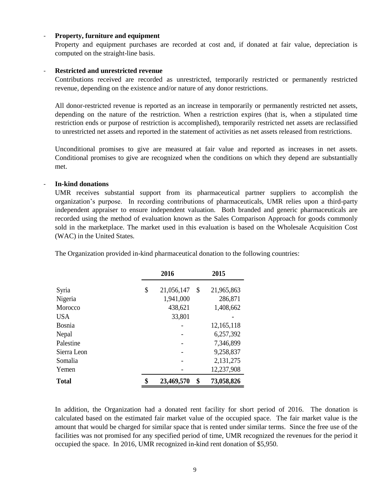#### - **Property, furniture and equipment**

Property and equipment purchases are recorded at cost and, if donated at fair value, depreciation is computed on the straight-line basis.

#### - **Restricted and unrestricted revenue**

Contributions received are recorded as unrestricted, temporarily restricted or permanently restricted revenue, depending on the existence and/or nature of any donor restrictions.

All donor-restricted revenue is reported as an increase in temporarily or permanently restricted net assets, depending on the nature of the restriction. When a restriction expires (that is, when a stipulated time restriction ends or purpose of restriction is accomplished), temporarily restricted net assets are reclassified to unrestricted net assets and reported in the statement of activities as net assets released from restrictions.

Unconditional promises to give are measured at fair value and reported as increases in net assets. Conditional promises to give are recognized when the conditions on which they depend are substantially met.

#### - **In-kind donations**

UMR receives substantial support from its pharmaceutical partner suppliers to accomplish the organization's purpose. In recording contributions of pharmaceuticals, UMR relies upon a third-party independent appraiser to ensure independent valuation. Both branded and generic pharmaceuticals are recorded using the method of evaluation known as the Sales Comparison Approach for goods commonly sold in the marketplace. The market used in this evaluation is based on the Wholesale Acquisition Cost (WAC) in the United States.

|               | 2016             | 2015             |
|---------------|------------------|------------------|
| Syria         | \$<br>21,056,147 | \$<br>21,965,863 |
| Nigeria       | 1,941,000        | 286,871          |
| Morocco       | 438,621          | 1,408,662        |
| <b>USA</b>    | 33,801           |                  |
| <b>Bosnia</b> |                  | 12,165,118       |
| Nepal         |                  | 6,257,392        |
| Palestine     |                  | 7,346,899        |
| Sierra Leon   |                  | 9,258,837        |
| Somalia       |                  | 2,131,275        |
| Yemen         |                  | 12,237,908       |
| Total         | \$<br>23,469,570 | \$<br>73,058,826 |

The Organization provided in-kind pharmaceutical donation to the following countries:

In addition, the Organization had a donated rent facility for short period of 2016. The donation is calculated based on the estimated fair market value of the occupied space. The fair market value is the amount that would be charged for similar space that is rented under similar terms. Since the free use of the facilities was not promised for any specified period of time, UMR recognized the revenues for the period it occupied the space. In 2016, UMR recognized in-kind rent donation of \$5,950.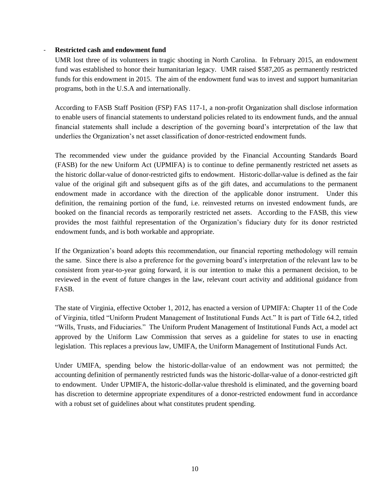#### - **Restricted cash and endowment fund**

UMR lost three of its volunteers in tragic shooting in North Carolina. In February 2015, an endowment fund was established to honor their humanitarian legacy. UMR raised \$587,205 as permanently restricted funds for this endowment in 2015. The aim of the endowment fund was to invest and support humanitarian programs, both in the U.S.A and internationally.

According to FASB Staff Position (FSP) FAS 117-1, a non-profit Organization shall disclose information to enable users of financial statements to understand policies related to its endowment funds, and the annual financial statements shall include a description of the governing board's interpretation of the law that underlies the Organization's net asset classification of donor-restricted endowment funds.

The recommended view under the guidance provided by the Financial Accounting Standards Board (FASB) for the new Uniform Act (UPMIFA) is to continue to define permanently restricted net assets as the historic dollar-value of donor-restricted gifts to endowment. Historic-dollar-value is defined as the fair value of the original gift and subsequent gifts as of the gift dates, and accumulations to the permanent endowment made in accordance with the direction of the applicable donor instrument. Under this definition, the remaining portion of the fund, i.e. reinvested returns on invested endowment funds, are booked on the financial records as temporarily restricted net assets. According to the FASB, this view provides the most faithful representation of the Organization's fiduciary duty for its donor restricted endowment funds, and is both workable and appropriate.

If the Organization's board adopts this recommendation, our financial reporting methodology will remain the same. Since there is also a preference for the governing board's interpretation of the relevant law to be consistent from year-to-year going forward, it is our intention to make this a permanent decision, to be reviewed in the event of future changes in the law, relevant court activity and additional guidance from FASB.

The state of Virginia, effective October 1, 2012, has enacted a version of UPMIFA: Chapter 11 of the Code of Virginia, titled "Uniform Prudent Management of Institutional Funds Act." It is part of Title 64.2, titled "Wills, Trusts, and Fiduciaries." The Uniform Prudent Management of Institutional Funds Act, a model act approved by the Uniform Law Commission that serves as a guideline for states to use in enacting legislation. This replaces a previous law, UMIFA, the Uniform Management of Institutional Funds Act.

Under UMIFA, spending below the historic-dollar-value of an endowment was not permitted; the accounting definition of permanently restricted funds was the historic-dollar-value of a donor-restricted gift to endowment. Under UPMIFA, the historic-dollar-value threshold is eliminated, and the governing board has discretion to determine appropriate expenditures of a donor-restricted endowment fund in accordance with a robust set of guidelines about what constitutes prudent spending.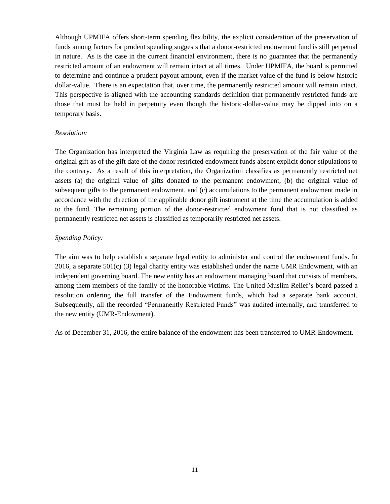Although UPMIFA offers short-term spending flexibility, the explicit consideration of the preservation of funds among factors for prudent spending suggests that a donor-restricted endowment fund is still perpetual in nature. As is the case in the current financial environment, there is no guarantee that the permanently restricted amount of an endowment will remain intact at all times. Under UPMIFA, the board is permitted to determine and continue a prudent payout amount, even if the market value of the fund is below historic dollar-value. There is an expectation that, over time, the permanently restricted amount will remain intact. This perspective is aligned with the accounting standards definition that permanently restricted funds are those that must be held in perpetuity even though the historic-dollar-value may be dipped into on a temporary basis.

#### *Resolution:*

The Organization has interpreted the Virginia Law as requiring the preservation of the fair value of the original gift as of the gift date of the donor restricted endowment funds absent explicit donor stipulations to the contrary. As a result of this interpretation, the Organization classifies as permanently restricted net assets (a) the original value of gifts donated to the permanent endowment, (b) the original value of subsequent gifts to the permanent endowment, and (c) accumulations to the permanent endowment made in accordance with the direction of the applicable donor gift instrument at the time the accumulation is added to the fund. The remaining portion of the donor-restricted endowment fund that is not classified as permanently restricted net assets is classified as temporarily restricted net assets.

#### *Spending Policy:*

The aim was to help establish a separate legal entity to administer and control the endowment funds. In 2016, a separate 501(c) (3) legal charity entity was established under the name UMR Endowment, with an independent governing board. The new entity has an endowment managing board that consists of members, among them members of the family of the honorable victims. The United Muslim Relief's board passed a resolution ordering the full transfer of the Endowment funds, which had a separate bank account. Subsequently, all the recorded "Permanently Restricted Funds" was audited internally, and transferred to the new entity (UMR-Endowment).

As of December 31, 2016, the entire balance of the endowment has been transferred to UMR-Endowment.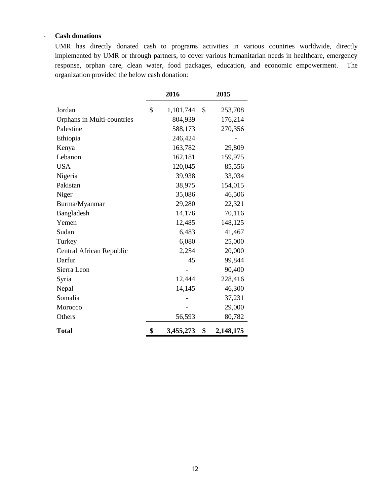#### - **Cash donations**

UMR has directly donated cash to programs activities in various countries worldwide, directly implemented by UMR or through partners, to cover various humanitarian needs in healthcare, emergency response, orphan care, clean water, food packages, education, and economic empowerment. The organization provided the below cash donation:

|                            | 2016            | 2015            |
|----------------------------|-----------------|-----------------|
| Jordan                     | \$<br>1,101,744 | \$<br>253,708   |
| Orphans in Multi-countries | 804,939         | 176,214         |
| Palestine                  | 588,173         | 270,356         |
| Ethiopia                   | 246,424         |                 |
| Kenya                      | 163,782         | 29,809          |
| Lebanon                    | 162,181         | 159,975         |
| <b>USA</b>                 | 120,045         | 85,556          |
| Nigeria                    | 39,938          | 33,034          |
| Pakistan                   | 38,975          | 154,015         |
| Niger                      | 35,086          | 46,506          |
| Burma/Myanmar              | 29,280          | 22,321          |
| Bangladesh                 | 14,176          | 70,116          |
| Yemen                      | 12,485          | 148,125         |
| Sudan                      | 6,483           | 41,467          |
| Turkey                     | 6,080           | 25,000          |
| Central African Republic   | 2,254           | 20,000          |
| Darfur                     | 45              | 99,844          |
| Sierra Leon                |                 | 90,400          |
| Syria                      | 12,444          | 228,416         |
| Nepal                      | 14,145          | 46,300          |
| Somalia                    |                 | 37,231          |
| Morocco                    |                 | 29,000          |
| Others                     | 56,593          | 80,782          |
| <b>Total</b>               | \$<br>3,455,273 | \$<br>2,148,175 |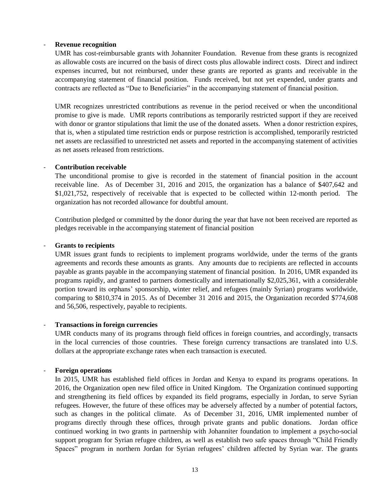#### - **Revenue recognition**

UMR has cost-reimbursable grants with Johanniter Foundation. Revenue from these grants is recognized as allowable costs are incurred on the basis of direct costs plus allowable indirect costs. Direct and indirect expenses incurred, but not reimbursed, under these grants are reported as grants and receivable in the accompanying statement of financial position. Funds received, but not yet expended, under grants and contracts are reflected as "Due to Beneficiaries" in the accompanying statement of financial position.

UMR recognizes unrestricted contributions as revenue in the period received or when the unconditional promise to give is made. UMR reports contributions as temporarily restricted support if they are received with donor or grantor stipulations that limit the use of the donated assets. When a donor restriction expires, that is, when a stipulated time restriction ends or purpose restriction is accomplished, temporarily restricted net assets are reclassified to unrestricted net assets and reported in the accompanying statement of activities as net assets released from restrictions.

#### - **Contribution receivable**

The unconditional promise to give is recorded in the statement of financial position in the account receivable line. As of December 31, 2016 and 2015, the organization has a balance of \$407,642 and \$1,021,752, respectively of receivable that is expected to be collected within 12-month period. The organization has not recorded allowance for doubtful amount.

Contribution pledged or committed by the donor during the year that have not been received are reported as pledges receivable in the accompanying statement of financial position

#### - **Grants to recipients**

UMR issues grant funds to recipients to implement programs worldwide, under the terms of the grants agreements and records these amounts as grants. Any amounts due to recipients are reflected in accounts payable as grants payable in the accompanying statement of financial position. In 2016, UMR expanded its programs rapidly, and granted to partners domestically and internationally \$2,025,361, with a considerable portion toward its orphans' sponsorship, winter relief, and refugees (mainly Syrian) programs worldwide, comparing to \$810,374 in 2015. As of December 31 2016 and 2015, the Organization recorded \$774,608 and 56,506, respectively, payable to recipients.

#### - **Transactions in foreign currencies**

UMR conducts many of its programs through field offices in foreign countries, and accordingly, transacts in the local currencies of those countries. These foreign currency transactions are translated into U.S. dollars at the appropriate exchange rates when each transaction is executed.

#### - **Foreign operations**

In 2015, UMR has established field offices in Jordan and Kenya to expand its programs operations. In 2016, the Organization open new filed office in United Kingdom. The Organization continued supporting and strengthening its field offices by expanded its field programs, especially in Jordan, to serve Syrian refugees. However, the future of these offices may be adversely affected by a number of potential factors, such as changes in the political climate. As of December 31, 2016, UMR implemented number of programs directly through these offices, through private grants and public donations. Jordan office continued working in two grants in partnership with Johanniter foundation to implement a psycho-social support program for Syrian refugee children, as well as establish two safe spaces through "Child Friendly Spaces" program in northern Jordan for Syrian refugees' children affected by Syrian war. The grants